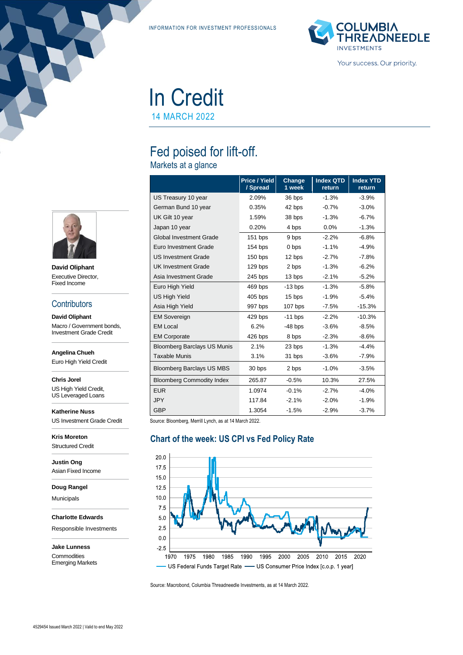INFORMATION FOR INVESTMENT PROFESSIONALS



In Credit 14 MARCH 2022

Fed poised for lift-off.

Markets at a glance

|                                    | <b>Price / Yield</b><br>/ Spread | Change<br>1 week | <b>Index QTD</b><br>return | <b>Index YTD</b><br>return |
|------------------------------------|----------------------------------|------------------|----------------------------|----------------------------|
| US Treasury 10 year                | 2.09%                            | 36 bps           | $-1.3%$                    | $-3.9%$                    |
| German Bund 10 year                | 0.35%                            | 42 bps           | $-0.7%$                    | $-3.0%$                    |
| UK Gilt 10 year                    | 1.59%                            | 38 bps           | $-1.3%$                    | $-6.7%$                    |
| Japan 10 year                      | 0.20%                            | 4 bps            | $0.0\%$                    | $-1.3%$                    |
| <b>Global Investment Grade</b>     | 151 bps                          | 9 bps            | $-2.2%$                    | $-6.8%$                    |
| Euro Investment Grade              | 154 bps                          | 0 bps            | $-1.1%$                    | $-4.9%$                    |
| <b>US Investment Grade</b>         | $150$ bps                        | 12 bps           | $-2.7%$                    | $-7.8%$                    |
| <b>UK Investment Grade</b>         | 129 bps                          | 2 bps            | $-1.3%$                    | $-6.2%$                    |
| Asia Investment Grade              | 245 bps                          | 13 bps           | $-2.1%$                    | $-5.2%$                    |
| Euro High Yield                    | 469 bps                          | $-13$ bps        | $-1.3%$                    | $-5.8%$                    |
| <b>US High Yield</b>               | $405$ bps                        | 15 bps           | $-1.9%$                    | $-5.4%$                    |
| Asia High Yield                    | 997 bps                          | $107$ bps        | $-7.5%$                    | $-15.3%$                   |
| <b>EM Sovereign</b>                | 429 bps                          | $-11$ bps        | $-2.2%$                    | $-10.3%$                   |
| <b>EM Local</b>                    | 6.2%                             | $-48$ bps        | $-3.6\%$                   | $-8.5%$                    |
| <b>EM Corporate</b>                | 426 bps                          | 8 bps            | $-2.3%$                    | $-8.6%$                    |
| <b>Bloomberg Barclays US Munis</b> | 2.1%                             | 23 bps           | $-1.3%$                    | $-4.4%$                    |
| <b>Taxable Munis</b>               | 3.1%                             | 31 bps           | $-3.6%$                    | $-7.9%$                    |
| <b>Bloomberg Barclays US MBS</b>   | 30 bps                           | 2 bps            | $-1.0%$                    | $-3.5%$                    |
| <b>Bloomberg Commodity Index</b>   | 265.87                           | $-0.5%$          | 10.3%                      | 27.5%                      |
| <b>EUR</b>                         | 1.0974                           | $-0.1%$          | $-2.7%$                    | $-4.0%$                    |
| <b>JPY</b>                         | 117.84                           | $-2.1%$          | $-2.0%$                    | $-1.9%$                    |
| <b>GBP</b>                         | 1.3054                           | $-1.5%$          | $-2.9%$                    | $-3.7%$                    |

Source: Bloomberg, Merrill Lynch, as at 14 March 2022.

#### **Chart of the week: US CPI vs Fed Policy Rate**



Source: Macrobond, Columbia Threadneedle Investments, as at 14 March 2022.



**David Oliphant** Executive Director, Fixed Income

#### **Contributors**

**David Oliphant** Macro / Government bonds, Investment Grade Credit

**Angelina Chueh**

Euro High Yield Credit

**Chris Jorel**

US High Yield Credit, US Leveraged Loans

**Katherine Nuss** US Investment Grade Credit

**Kris Moreton** Structured Credit

**Justin Ong** Asian Fixed Income

**Doug Rangel**

Municipals

**Charlotte Edwards**

Responsible Investments

**Jake Lunness Commodities** Emerging Markets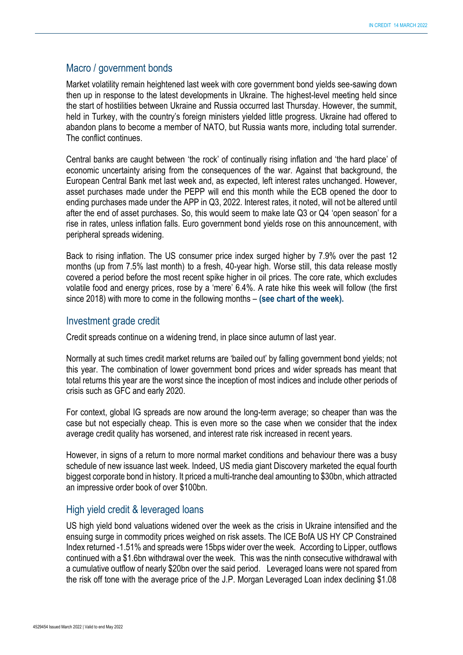#### Macro / government bonds

Market volatility remain heightened last week with core government bond yields see-sawing down then up in response to the latest developments in Ukraine. The highest-level meeting held since the start of hostilities between Ukraine and Russia occurred last Thursday. However, the summit, held in Turkey, with the country's foreign ministers yielded little progress. Ukraine had offered to abandon plans to become a member of NATO, but Russia wants more, including total surrender. The conflict continues.

Central banks are caught between 'the rock' of continually rising inflation and 'the hard place' of economic uncertainty arising from the consequences of the war. Against that background, the European Central Bank met last week and, as expected, left interest rates unchanged. However, asset purchases made under the PEPP will end this month while the ECB opened the door to ending purchases made under the APP in Q3, 2022. Interest rates, it noted, will not be altered until after the end of asset purchases. So, this would seem to make late Q3 or Q4 'open season' for a rise in rates, unless inflation falls. Euro government bond yields rose on this announcement, with peripheral spreads widening.

Back to rising inflation. The US consumer price index surged higher by 7.9% over the past 12 months (up from 7.5% last month) to a fresh, 40-year high. Worse still, this data release mostly covered a period before the most recent spike higher in oil prices. The core rate, which excludes volatile food and energy prices, rose by a 'mere' 6.4%. A rate hike this week will follow (the first since 2018) with more to come in the following months – **(see chart of the week).**

### Investment grade credit

Credit spreads continue on a widening trend, in place since autumn of last year.

Normally at such times credit market returns are 'bailed out' by falling government bond yields; not this year. The combination of lower government bond prices and wider spreads has meant that total returns this year are the worst since the inception of most indices and include other periods of crisis such as GFC and early 2020.

For context, global IG spreads are now around the long-term average; so cheaper than was the case but not especially cheap. This is even more so the case when we consider that the index average credit quality has worsened, and interest rate risk increased in recent years.

However, in signs of a return to more normal market conditions and behaviour there was a busy schedule of new issuance last week. Indeed, US media giant Discovery marketed the equal fourth biggest corporate bond in history. It priced a multi-tranche deal amounting to \$30bn, which attracted an impressive order book of over \$100bn.

## High yield credit & leveraged loans

US high yield bond valuations widened over the week as the crisis in Ukraine intensified and the ensuing surge in commodity prices weighed on risk assets. The ICE BofA US HY CP Constrained Index returned -1.51% and spreads were 15bps wider over the week. According to Lipper, outflows continued with a \$1.6bn withdrawal over the week. This was the ninth consecutive withdrawal with a cumulative outflow of nearly \$20bn over the said period. Leveraged loans were not spared from the risk off tone with the average price of the J.P. Morgan Leveraged Loan index declining \$1.08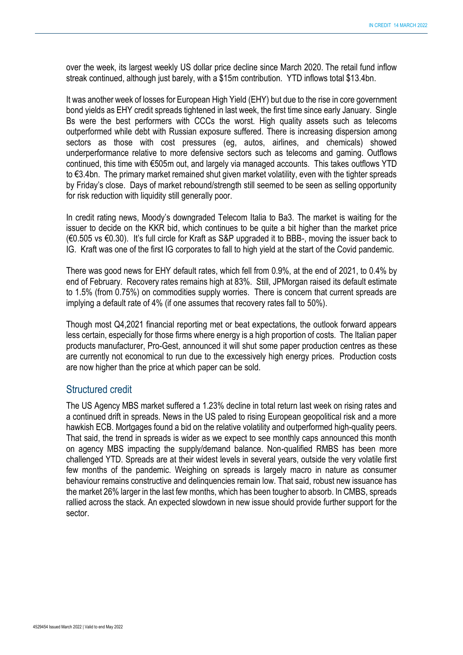over the week, its largest weekly US dollar price decline since March 2020. The retail fund inflow streak continued, although just barely, with a \$15m contribution. YTD inflows total \$13.4bn.

It was another week of losses for European High Yield (EHY) but due to the rise in core government bond yields as EHY credit spreads tightened in last week, the first time since early January. Single Bs were the best performers with CCCs the worst. High quality assets such as telecoms outperformed while debt with Russian exposure suffered. There is increasing dispersion among sectors as those with cost pressures (eg, autos, airlines, and chemicals) showed underperformance relative to more defensive sectors such as telecoms and gaming. Outflows continued, this time with €505m out, and largely via managed accounts. This takes outflows YTD to €3.4bn. The primary market remained shut given market volatility, even with the tighter spreads by Friday's close. Days of market rebound/strength still seemed to be seen as selling opportunity for risk reduction with liquidity still generally poor.

In credit rating news, Moody's downgraded Telecom Italia to Ba3. The market is waiting for the issuer to decide on the KKR bid, which continues to be quite a bit higher than the market price (€0.505 vs €0.30). It's full circle for Kraft as S&P upgraded it to BBB-, moving the issuer back to IG. Kraft was one of the first IG corporates to fall to high yield at the start of the Covid pandemic.

There was good news for EHY default rates, which fell from 0.9%, at the end of 2021, to 0.4% by end of February. Recovery rates remains high at 83%. Still, JPMorgan raised its default estimate to 1.5% (from 0.75%) on commodities supply worries. There is concern that current spreads are implying a default rate of 4% (if one assumes that recovery rates fall to 50%).

Though most Q4,2021 financial reporting met or beat expectations, the outlook forward appears less certain, especially for those firms where energy is a high proportion of costs. The Italian paper products manufacturer, Pro-Gest, announced it will shut some paper production centres as these are currently not economical to run due to the excessively high energy prices. Production costs are now higher than the price at which paper can be sold.

#### Structured credit

The US Agency MBS market suffered a 1.23% decline in total return last week on rising rates and a continued drift in spreads. News in the US paled to rising European geopolitical risk and a more hawkish ECB. Mortgages found a bid on the relative volatility and outperformed high-quality peers. That said, the trend in spreads is wider as we expect to see monthly caps announced this month on agency MBS impacting the supply/demand balance. Non-qualified RMBS has been more challenged YTD. Spreads are at their widest levels in several years, outside the very volatile first few months of the pandemic. Weighing on spreads is largely macro in nature as consumer behaviour remains constructive and delinquencies remain low. That said, robust new issuance has the market 26% larger in the last few months, which has been tougher to absorb. In CMBS, spreads rallied across the stack. An expected slowdown in new issue should provide further support for the sector.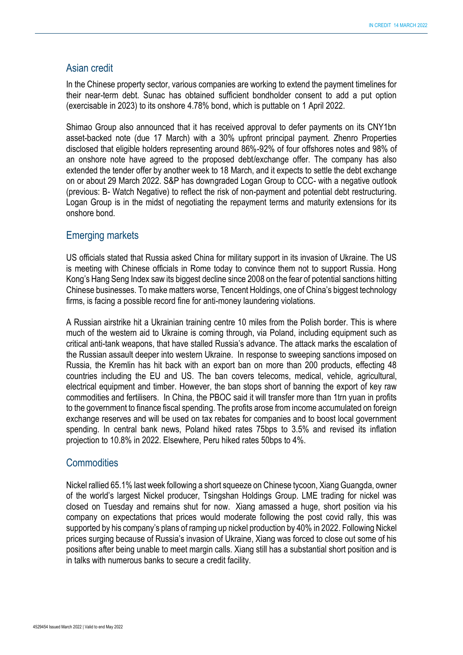#### Asian credit

In the Chinese property sector, various companies are working to extend the payment timelines for their near-term debt. Sunac has obtained sufficient bondholder consent to add a put option (exercisable in 2023) to its onshore 4.78% bond, which is puttable on 1 April 2022.

Shimao Group also announced that it has received approval to defer payments on its CNY1bn asset-backed note (due 17 March) with a 30% upfront principal payment. Zhenro Properties disclosed that eligible holders representing around 86%-92% of four offshores notes and 98% of an onshore note have agreed to the proposed debt/exchange offer. The company has also extended the tender offer by another week to 18 March, and it expects to settle the debt exchange on or about 29 March 2022. S&P has downgraded Logan Group to CCC- with a negative outlook (previous: B- Watch Negative) to reflect the risk of non-payment and potential debt restructuring. Logan Group is in the midst of negotiating the repayment terms and maturity extensions for its onshore bond.

#### Emerging markets

US officials stated that Russia asked China for military support in its invasion of Ukraine. The US is meeting with Chinese officials in Rome today to convince them not to support Russia. Hong Kong's Hang Seng Index saw its biggest decline since 2008 on the fear of potential sanctions hitting Chinese businesses. To make matters worse, Tencent Holdings, one of China's biggest technology firms, is facing a possible record fine for anti-money laundering violations.

A Russian airstrike hit a Ukrainian training centre 10 miles from the Polish border. This is where much of the western aid to Ukraine is coming through, via Poland, including equipment such as critical anti-tank weapons, that have stalled Russia's advance. The attack marks the escalation of the Russian assault deeper into western Ukraine. In response to sweeping sanctions imposed on Russia, the Kremlin has hit back with an export ban on more than 200 products, effecting 48 countries including the EU and US. The ban covers telecoms, medical, vehicle, agricultural, electrical equipment and timber. However, the ban stops short of banning the export of key raw commodities and fertilisers. In China, the PBOC said it will transfer more than 1trn yuan in profits to the government to finance fiscal spending. The profits arose from income accumulated on foreign exchange reserves and will be used on tax rebates for companies and to boost local government spending. In central bank news, Poland hiked rates 75bps to 3.5% and revised its inflation projection to 10.8% in 2022. Elsewhere, Peru hiked rates 50bps to 4%.

#### **Commodities**

Nickel rallied 65.1% last week following a short squeeze on Chinese tycoon, Xiang Guangda, owner of the world's largest Nickel producer, Tsingshan Holdings Group. LME trading for nickel was closed on Tuesday and remains shut for now. Xiang amassed a huge, short position via his company on expectations that prices would moderate following the post covid rally, this was supported by his company's plans of ramping up nickel production by 40% in 2022. Following Nickel prices surging because of Russia's invasion of Ukraine, Xiang was forced to close out some of his positions after being unable to meet margin calls. Xiang still has a substantial short position and is in talks with numerous banks to secure a credit facility.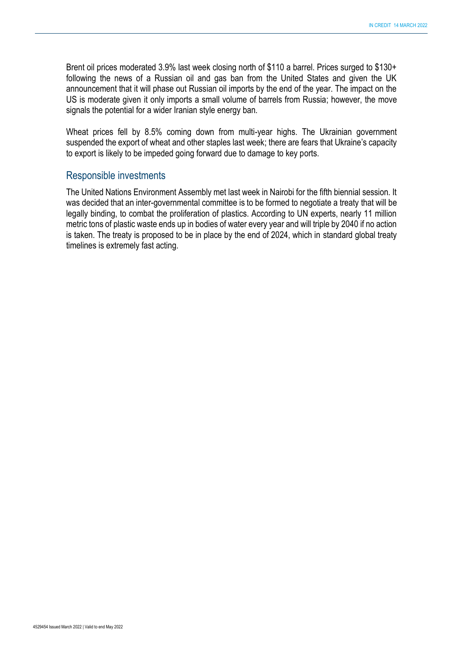Brent oil prices moderated 3.9% last week closing north of \$110 a barrel. Prices surged to \$130+ following the news of a Russian oil and gas ban from the United States and given the UK announcement that it will phase out Russian oil imports by the end of the year. The impact on the US is moderate given it only imports a small volume of barrels from Russia; however, the move signals the potential for a wider Iranian style energy ban.

Wheat prices fell by 8.5% coming down from multi-year highs. The Ukrainian government suspended the export of wheat and other staples last week; there are fears that Ukraine's capacity to export is likely to be impeded going forward due to damage to key ports.

#### Responsible investments

The United Nations Environment Assembly met last week in Nairobi for the fifth biennial session. It was decided that an inter-governmental committee is to be formed to negotiate a treaty that will be legally binding, to combat the proliferation of plastics. According to UN experts, nearly 11 million metric tons of plastic waste ends up in bodies of water every year and will triple by 2040 if no action is taken. The treaty is proposed to be in place by the end of 2024, which in standard global treaty timelines is extremely fast acting.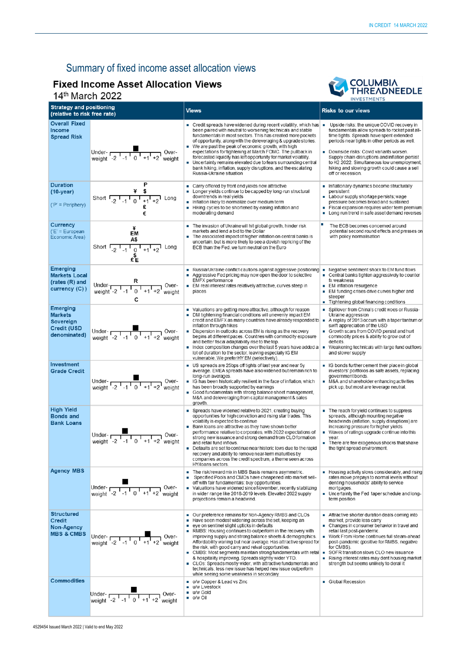# Summary of fixed income asset allocation views

# **Fixed Income Asset Allocation Views**

 $14<sup>th</sup>$  March 2022



| 111G1U11E                                                                            |                                                                                                             |                                                                                                                                                                                                                                                                                                                                                                                                                                                                                                                                                                                                                                                                                                                                                       | <b>INVESTMENTS</b>                                                                                                                                                                                                                                                                                                                                                                                          |  |
|--------------------------------------------------------------------------------------|-------------------------------------------------------------------------------------------------------------|-------------------------------------------------------------------------------------------------------------------------------------------------------------------------------------------------------------------------------------------------------------------------------------------------------------------------------------------------------------------------------------------------------------------------------------------------------------------------------------------------------------------------------------------------------------------------------------------------------------------------------------------------------------------------------------------------------------------------------------------------------|-------------------------------------------------------------------------------------------------------------------------------------------------------------------------------------------------------------------------------------------------------------------------------------------------------------------------------------------------------------------------------------------------------------|--|
| <b>Strategy and positioning</b><br>(relative to risk free rate)                      |                                                                                                             | <b>Views</b>                                                                                                                                                                                                                                                                                                                                                                                                                                                                                                                                                                                                                                                                                                                                          | <b>Risks to our views</b>                                                                                                                                                                                                                                                                                                                                                                                   |  |
| <b>Overall Fixed</b><br>Income<br><b>Spread Risk</b>                                 | Under-<br>weight $-2$ $-1$ $1$ $0$ $+1$ $+2$ weight                                                         | $\blacksquare$ Credit spreads have widened during recent volatility, which has $\blacksquare$<br>been paired with neutral to worsening technicals and stable<br>fundamentals in most sectors. This has created more pockets<br>of opportunity, along with the deleveraging & upgrade stories.<br>■ We are past the peak of economic growth, with high<br>expectations for tightening at March FOMC. The pullback in<br>forecasted liquidity has left opportunity for market volatility.<br>Uncertainty remains elevated due to fears surrounding central<br>bank hiking, inflation, supply disruptions, and the escalating<br>Russia-Ukraine situation                                                                                                | Upside risks: the unique COVID recovery in<br>fundamentals allow spreads to rocket past all-<br>time tights. Spreads have spent extended<br>periods near tights in other periods as well.<br>Downside risks: Covid variants worsen.<br>Supply chain disruptions and inflation persist<br>to H2 2022. Simultaneous low unemployment,<br>hiking and slowing growth could cause a sell<br>off or recession.    |  |
| <b>Duration</b><br>$(10-year)$<br>$(P' = Periphery)$                                 | P<br>Short $\frac{4}{-2}$ $\frac{4}{-1}$ $\frac{4}{0}$ $\frac{4}{+1}$ $\frac{1}{+2}$ Long                   | Carry offered by front end yields now attractive<br>Longer yields continue to be capped by long-run structural<br>downtrends in real yields<br>Inflation likely to normalize over medium term<br>Hiking cycles to be shortened by easing inflation and<br>٠<br>moderating demand                                                                                                                                                                                                                                                                                                                                                                                                                                                                      | Inflationary dynamics become structurally<br>persistent<br>• Labour supply shortage persists; wage<br>pressure becomes broad and sustained<br>Fiscal expansion requires wider term premium<br>п<br>Long run trend in safe asset demand reverses<br>٠                                                                                                                                                        |  |
| Currency<br>$(E' = European$<br>Economic Area)                                       | ¥<br>EM<br>A\$                                                                                              | The invasion of Ukraine will hit global growth, hinder risk<br>markets and lend a bid to the Dollar<br>The associated impact of higher inflation on central banks is<br>٠<br>uncertain, but is more likely to see a dovish repricing of the<br>ECB than the Fed, we turn neutral on the Euro                                                                                                                                                                                                                                                                                                                                                                                                                                                          | о<br>The ECB becomes concerned around<br>potential second round effects and presses on<br>with policy normalisation                                                                                                                                                                                                                                                                                         |  |
| <b>Emerging</b><br><b>Markets Local</b><br>(rates (R) and<br>currency (C))           | Under- $R$<br>weight -2 $\begin{array}{c} R \\ -1 \end{array}$ +1 +2 weight<br>c                            | ■ Russia/Ukraine conflict cautions against aggressive positioning<br>Aggressive Fed pricing may now open the door to selective<br><b>EMFX</b> performance<br>■ EM real interest rates relatively attractive, curves steep in<br>places                                                                                                                                                                                                                                                                                                                                                                                                                                                                                                                | Negative sentiment shock to EM fund flows<br>×<br>Central banks tighten aggressively to counter<br>$\mathbf{r}$<br>fx weakness<br><b>EM inflation resurgence</b><br>■ EM funding crises drive curves higher and<br>steeper<br>Tightening global financing conditions                                                                                                                                        |  |
| <b>Emerging</b><br><b>Markets</b><br>Sovereign<br><b>Credit (USD</b><br>denominated) |                                                                                                             | • Valuations are getting more attractive, although for reason<br>• DM tightening financial conditions will unevenly impact EM<br>credit and EMFX as many countries have already responded to $\blacksquare$<br>inflation through hikes<br>Dispersion in outlooks across EM is rising as the recovery<br>begins at different paces. Countries with commodity exposure<br>and better fiscal adaptability rise to the top.<br>Index composition changes over the last 5 years have added a $\blacksquare$<br>lot of duration to the sector, leaving especially IG EM<br>vulnerable. We prefer HY EM (selectively)                                                                                                                                        | Spillover from China's credit woes or Russia-<br>Ukraine aggression<br>A replay of 2013 occurs with a taper tantrum or<br>swift appreciation of the USD<br>Growth scars from COVID persist and hurt<br>commodity prices & ability to grow out of<br>deficits.<br>Weakening technicals with large fund outflows<br>and slower supply                                                                         |  |
| Investment<br><b>Grade Credit</b>                                                    | Under-<br>weight $\begin{array}{cc} 2 & 1 & 0 & +1 & +2 \\ -2 & -1 & 0 & +1 & +2 \\ \end{array}$ weight     | $\blacksquare$ US spreads are 25 bps off tights of last year and near 5 y<br>average. EMEA spreads have also widened but remain rich to<br>long-run averages.<br>G has been historically resilient in the face of inflation, which<br>has been broadly supported by earnings<br>Good fundamentals with strong balance sheet management,<br>M&A and deleveraging from capital management & sales<br>growth.                                                                                                                                                                                                                                                                                                                                            | ■ IG bonds further cement their place in global<br>investors' portfolios as safe assets, replacing<br>government bonds.<br>• M&A and shareholder enhancing activities<br>pick up, but most are leverage neutral.                                                                                                                                                                                            |  |
| <b>High Yield</b><br><b>Bonds and</b><br><b>Bank Loans</b>                           | Under- $\frac{1}{\sqrt{1-1} + 1}$ Over-<br>weight -2 -1 0 +1 +2 weight                                      | ■ Spreads have widened relative to 2021, creating buying<br>opportunities for high conviction and rising star trades. This<br>volatility is expected to continue<br>Bank loans are attractive as they have shown better<br>performance relative to corporates, with 2022 expectations of<br>strong new issuance and strong demand from CLO formation<br>and retail fund inflows.<br>■ Defaults are set to continue near historic lows due to the rapid<br>recovery and ability to remove near-term maturities by<br>companies across the credit spectrum, a theme seen across<br>HY/loans sectors.                                                                                                                                                    | $\blacksquare$ The reach for yield continues to suppress<br>spreads, although mounting negative<br>headwinds (inflation, supply disruptions) are<br>increasing pressure for higher yields.<br>• Waves of ratings upgrade continue into this<br>vear.<br>There are few exogenous shocks that shake<br>the tight spread environment.                                                                          |  |
| <b>Agency MBS</b>                                                                    | Under- <sub>r</sub><br>Over-<br>Under- $\sqrt{2^{1}+1}$ $\sqrt{1+1+2}$ Weight                               | The risk/reward mix in MBS Basis remains asymmetric.<br>Specified Pools and CMOs have cheapened into market sell-<br>off with fair fundamentals: buy opportunities.<br>• Valuations have widened since November, recently stabilizing<br>in wider range like 2018-2019 levels. Elevated 2022 supply<br>projections remain a headwind.                                                                                                                                                                                                                                                                                                                                                                                                                 | Housing activity slows considerably, and rising<br>rates move prepays to normal levels without<br>denting households' ability to service<br>mortgages.<br>Uncertainty the Fed taper schedule and long-<br>term position                                                                                                                                                                                     |  |
| <b>Structured</b><br><b>Credit</b><br>Non-Agency<br><b>MBS &amp; CMBS</b>            | Under- $\frac{1}{2}$ , $\frac{1}{1}$ , $\frac{1}{0}$ , $\frac{1}{1}$ , $\frac{1}{1}$ , $\frac{1}{2}$ weight | ■ Our preference remains for Non-Agency RMBS and CLOs<br>Have seen modest widening across the set, keeping an<br>■ eye on sentinel slight upticks in defaults<br>RMBS: Housing continues to outperform in the recovery with<br>improving supply and strong balance sheets & demographics.<br>Affordability waning but near average. Has attractive spread for<br>the risk, with good carry and relval opportunities.<br>$\blacksquare$ CMBS: Most segments maintain strong fundamentals with retail $\blacksquare$<br>& hospitality improving. Spreads slightly wider YTD.<br>• CLOs: Spreads mostly wider, with attractive fundamentals and<br>technicals, less new issue has helped new issue outperform<br>while seeing some weakness in secondary | Attractive shorter duration deals coming into<br>market, provide less carry<br>• Changes in consumer behavior in travel and<br>retail last post-pandemic.<br>■ Work From Home continues full steam-ahead<br>post-pandemic (positive for RMBS, negative<br>for CMBS).<br>SOFR transition slows CLO new issuance<br>Rising interest rates may dent housing market<br>strength but seems unlikely to derail it |  |
| <b>Commodities</b>                                                                   | Under-<br>weight $-2$ $-1$ $0$ $+1$ $+2$<br>Over-<br>weight                                                 | o/w Copper & Lead vs Zinc<br>u/w Livestock<br>u/w Gold<br>$\blacksquare$ o/w Oil                                                                                                                                                                                                                                                                                                                                                                                                                                                                                                                                                                                                                                                                      | Global Recession                                                                                                                                                                                                                                                                                                                                                                                            |  |